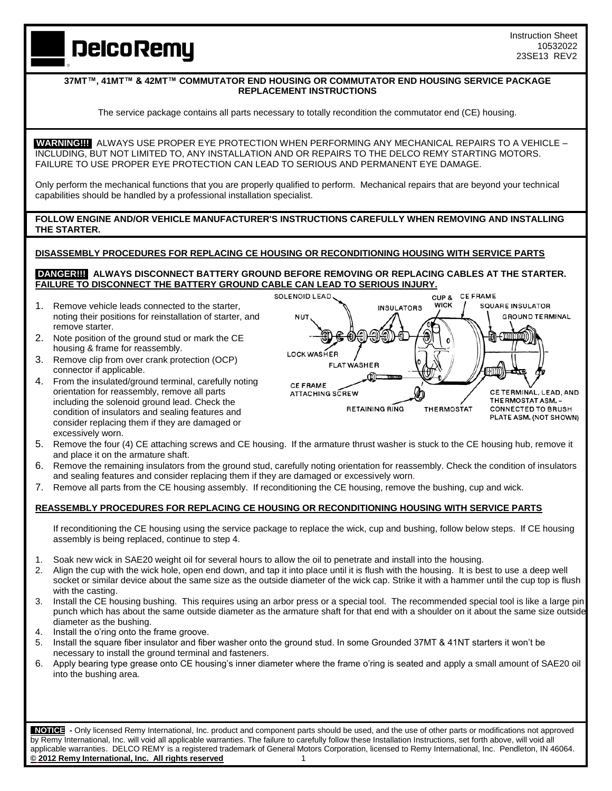#### Instruction Sheet 10532022 23SE13 REV2

# **DelcoRemy**

#### **37MT™, 41MT™ & 42MT™ COMMUTATOR END HOUSING OR COMMUTATOR END HOUSING SERVICE PACKAGE REPLACEMENT INSTRUCTIONS**

The service package contains all parts necessary to totally recondition the commutator end (CE) housing.

 **WARNING!!!** ALWAYS USE PROPER EYE PROTECTION WHEN PERFORMING ANY MECHANICAL REPAIRS TO A VEHICLE – INCLUDING, BUT NOT LIMITED TO, ANY INSTALLATION AND OR REPAIRS TO THE DELCO REMY STARTING MOTORS. FAILURE TO USE PROPER EYE PROTECTION CAN LEAD TO SERIOUS AND PERMANENT EYE DAMAGE.

Only perform the mechanical functions that you are properly qualified to perform. Mechanical repairs that are beyond your technical capabilities should be handled by a professional installation specialist.

#### **FOLLOW ENGINE AND/OR VEHICLE MANUFACTURER'S INSTRUCTIONS CAREFULLY WHEN REMOVING AND INSTALLING THE STARTER.**

#### **DISASSEMBLY PROCEDURES FOR REPLACING CE HOUSING OR RECONDITIONING HOUSING WITH SERVICE PARTS**

#### **DANGER!!! ALWAYS DISCONNECT BATTERY GROUND BEFORE REMOVING OR REPLACING CABLES AT THE STARTER. FAILURE TO DISCONNECT THE BATTERY GROUND CABLE CAN LEAD TO SERIOUS INJURY.**

- 1. Remove vehicle leads connected to the starter, noting their positions for reinstallation of starter, and remove starter.
- 2. Note position of the ground stud or mark the CE housing & frame for reassembly.
- 3. Remove clip from over crank protection (OCP) connector if applicable.
- 4. From the insulated/ground terminal, carefully noting orientation for reassembly, remove all parts including the solenoid ground lead. Check the condition of insulators and sealing features and consider replacing them if they are damaged or excessively worn.



- 5. Remove the four (4) CE attaching screws and CE housing. If the armature thrust washer is stuck to the CE housing hub, remove it and place it on the armature shaft.
- 6. Remove the remaining insulators from the ground stud, carefully noting orientation for reassembly. Check the condition of insulators and sealing features and consider replacing them if they are damaged or excessively worn.
- 7. Remove all parts from the CE housing assembly. If reconditioning the CE housing, remove the bushing, cup and wick.

#### **REASSEMBLY PROCEDURES FOR REPLACING CE HOUSING OR RECONDITIONING HOUSING WITH SERVICE PARTS**

If reconditioning the CE housing using the service package to replace the wick, cup and bushing, follow below steps. If CE housing assembly is being replaced, continue to step 4.

- 1. Soak new wick in SAE20 weight oil for several hours to allow the oil to penetrate and install into the housing.
- 2. Align the cup with the wick hole, open end down, and tap it into place until it is flush with the housing. It is best to use a deep well socket or similar device about the same size as the outside diameter of the wick cap. Strike it with a hammer until the cup top is flush with the casting.
- 3. Install the CE housing bushing. This requires using an arbor press or a special tool. The recommended special tool is like a large pin punch which has about the same outside diameter as the armature shaft for that end with a shoulder on it about the same size outside diameter as the bushing.
- 4. Install the o'ring onto the frame groove.
- 5. Install the square fiber insulator and fiber washer onto the ground stud. In some Grounded 37MT & 41NT starters it won't be necessary to install the ground terminal and fasteners.
- 6. Apply bearing type grease onto CE housing's inner diameter where the frame o'ring is seated and apply a small amount of SAE20 oil into the bushing area.

 **NOTICE -** Only licensed Remy International, Inc. product and component parts should be used, and the use of other parts or modifications not approved by Remy International, Inc. will void all applicable warranties. The failure to carefully follow these Installation Instructions, set forth above, will void all applicable warranties. DELCO REMY is a registered trademark of General Motors Corporation, licensed to Remy International, Inc. Pendleton, IN 46064. **© 2012 Remy International, Inc. All rights reserved** 1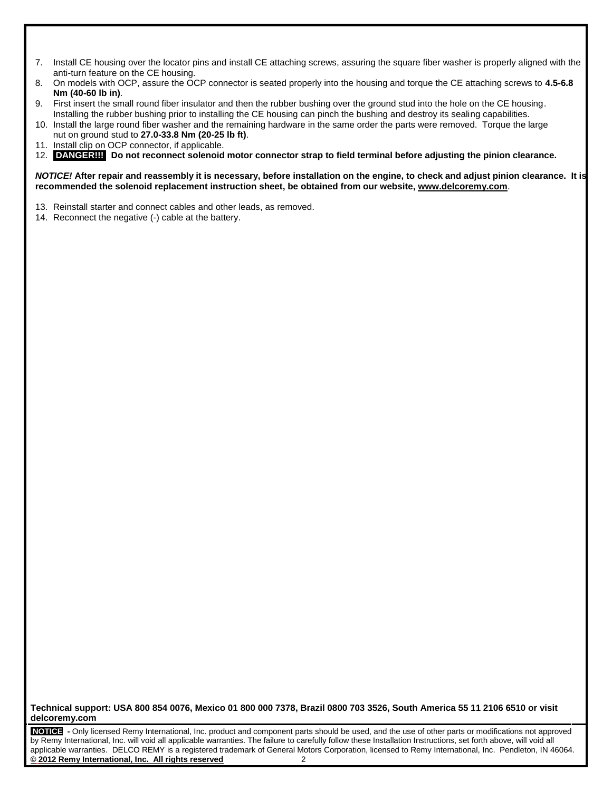- 7. Install CE housing over the locator pins and install CE attaching screws, assuring the square fiber washer is properly aligned with the anti-turn feature on the CE housing.
- 8. On models with OCP, assure the OCP connector is seated properly into the housing and torque the CE attaching screws to **4.5-6.8 Nm (40-60 lb in)**.
- 9. First insert the small round fiber insulator and then the rubber bushing over the ground stud into the hole on the CE housing. Installing the rubber bushing prior to installing the CE housing can pinch the bushing and destroy its sealing capabilities.

10. Install the large round fiber washer and the remaining hardware in the same order the parts were removed. Torque the large

- nut on ground stud to **27.0-33.8 Nm (20-25 lb ft)**. 11. Install clip on OCP connector, if applicable.
- 12. **DANGER!!! Do not reconnect solenoid motor connector strap to field terminal before adjusting the pinion clearance.**

*NOTICE!* **After repair and reassembly it is necessary, before installation on the engine, to check and adjust pinion clearance. It is recommended the solenoid replacement instruction sheet, be obtained from our website, [www.delcoremy.com](http://www.delcoremy.com/)**.

- 13. Reinstall starter and connect cables and other leads, as removed.
- 14. Reconnect the negative (-) cable at the battery.

**Technical support: USA 800 854 0076, Mexico 01 800 000 7378, Brazil 0800 703 3526, South America 55 11 2106 6510 or visit delcoremy.com**

**NOTICE -** Only licensed Remy International, Inc. product and component parts should be used, and the use of other parts or modifications not approved by Remy International, Inc. will void all applicable warranties. The failure to carefully follow these Installation Instructions, set forth above, will void all applicable warranties. DELCO REMY is a registered trademark of General Motors Corporation, licensed to Remy International, Inc. Pendleton, IN 46064. **© 2012 Remy International, Inc. All rights reserved** 2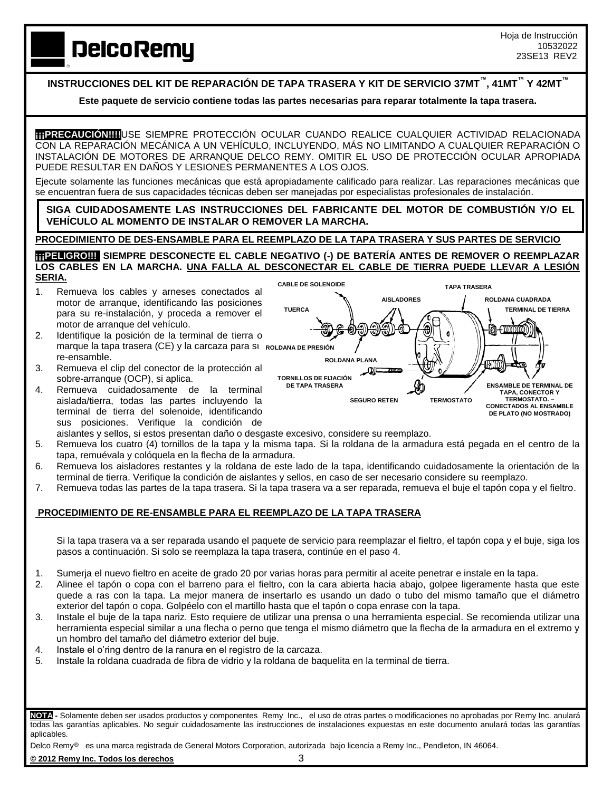## **DelcoRemy**

### **INSTRUCCIONES DEL KIT DE REPARACIÓN DE TAPA TRASERA Y KIT DE SERVICIO 37MT™ , 41MT™ Y 42MT™**

**Este paquete de servicio contiene todas las partes necesarias para reparar totalmente la tapa trasera.**

**THPRECAUCIÓN!!!!**USE SIEMPRE PROTECCIÓN OCULAR CUANDO REALICE CUALQUIER ACTIVIDAD RELACIONADA CON LA REPARACIÓN MECÁNICA A UN VEHÍCULO, INCLUYENDO, MÁS NO LIMITANDO A CUALQUIER REPARACIÓN O INSTALACIÓN DE MOTORES DE ARRANQUE DELCO REMY. OMITIR EL USO DE PROTECCIÓN OCULAR APROPIADA PUEDE RESULTAR EN DAÑOS Y LESIONES PERMANENTES A LOS OJOS.

Ejecute solamente las funciones mecánicas que está apropiadamente calificado para realizar. Las reparaciones mecánicas que se encuentran fuera de sus capacidades técnicas deben ser manejadas por especialistas profesionales de instalación.

**SIGA CUIDADOSAMENTE LAS INSTRUCCIONES DEL FABRICANTE DEL MOTOR DE COMBUSTIÓN Y/O EL VEHÍCULO AL MOMENTO DE INSTALAR O REMOVER LA MARCHA.**

#### **PROCEDIMIENTO DE DES-ENSAMBLE PARA EL REEMPLAZO DE LA TAPA TRASERA Y SUS PARTES DE SERVICIO**

**THE LE COLLECTE DESCONECTE EL CABLE NEGATIVO (-) DE BATERÍA ANTES DE REMOVER O REEMPLAZAR LOS CABLES EN LA MARCHA. UNA FALLA AL DESCONECTAR EL CABLE DE TIERRA PUEDE LLEVAR A LESIÓN SERIA.**

- 1. Remueva los cables y arneses conectados al motor de arranque, identificando las posiciones para su re-instalación, y proceda a remover el motor de arranque del vehículo.
- 2. Identifique la posición de la terminal de tierra o marque la tapa trasera (CE) y la carcaza para su **ROLDANA DE PRESIÓN** re-ensamble.
- 3. Remueva el clip del conector de la protección al sobre-arranque (OCP), si aplica.
- 4. Remueva cuidadosamente de la terminal aislada/tierra, todas las partes incluyendo la terminal de tierra del solenoide, identificando sus posiciones. Verifique la condición de



aislantes y sellos, si estos presentan daño o desgaste excesivo, considere su reemplazo.

- 5. Remueva los cuatro (4) tornillos de la tapa y la misma tapa. Si la roldana de la armadura está pegada en el centro de la tapa, remuévala y colóquela en la flecha de la armadura.
- 6. Remueva los aisladores restantes y la roldana de este lado de la tapa, identificando cuidadosamente la orientación de la terminal de tierra. Verifique la condición de aislantes y sellos, en caso de ser necesario considere su reemplazo.
- 7. Remueva todas las partes de la tapa trasera. Si la tapa trasera va a ser reparada, remueva el buje el tapón copa y el fieltro.

### **PROCEDIMIENTO DE RE-ENSAMBLE PARA EL REEMPLAZO DE LA TAPA TRASERA**

Si la tapa trasera va a ser reparada usando el paquete de servicio para reemplazar el fieltro, el tapón copa y el buje, siga los pasos a continuación. Si solo se reemplaza la tapa trasera, continúe en el paso 4.

- 1. Sumerja el nuevo fieltro en aceite de grado 20 por varias horas para permitir al aceite penetrar e instale en la tapa.
- 2. Alinee el tapón o copa con el barreno para el fieltro, con la cara abierta hacia abajo, golpee ligeramente hasta que este quede a ras con la tapa. La mejor manera de insertarlo es usando un dado o tubo del mismo tamaño que el diámetro exterior del tapón o copa. Golpéelo con el martillo hasta que el tapón o copa enrase con la tapa.
- 3. Instale el buje de la tapa nariz. Esto requiere de utilizar una prensa o una herramienta especial. Se recomienda utilizar una herramienta especial similar a una flecha o perno que tenga el mismo diámetro que la flecha de la armadura en el extremo y un hombro del tamaño del diámetro exterior del buje.
- 4. Instale el o'ring dentro de la ranura en el registro de la carcaza.
- 5. Instale la roldana cuadrada de fibra de vidrio y la roldana de baquelita en la terminal de tierra.

**NOTA -** Solamente deben ser usados productos y componentes Remy Inc., el uso de otras partes o modificaciones no aprobadas por Remy Inc. anulará todas las garantías aplicables. No seguir cuidadosamente las instrucciones de instalaciones expuestas en este documento anulará todas las garantías aplicables.

Delco Remy<sup>®</sup> es una marca registrada de General Motors Corporation, autorizada bajo licencia a Remy Inc., Pendleton, IN 46064.

**© 2012 Remy Inc. Todos los derechos** 3